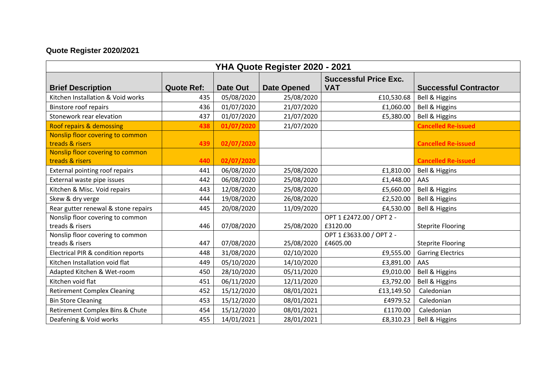## **Quote Register 2020/2021**

| YHA Quote Register 2020 - 2021      |                   |                 |                    |                              |                              |  |  |  |  |
|-------------------------------------|-------------------|-----------------|--------------------|------------------------------|------------------------------|--|--|--|--|
|                                     |                   |                 |                    | <b>Successful Price Exc.</b> |                              |  |  |  |  |
| <b>Brief Description</b>            | <b>Quote Ref:</b> | <b>Date Out</b> | <b>Date Opened</b> | <b>VAT</b>                   | <b>Successful Contractor</b> |  |  |  |  |
| Kitchen Installation & Void works   | 435               | 05/08/2020      | 25/08/2020         | £10,530.68                   | Bell & Higgins               |  |  |  |  |
| <b>Binstore roof repairs</b>        | 436               | 01/07/2020      | 21/07/2020         | £1,060.00                    | Bell & Higgins               |  |  |  |  |
| Stonework rear elevation            | 437               | 01/07/2020      | 21/07/2020         | £5,380.00                    | <b>Bell &amp; Higgins</b>    |  |  |  |  |
| Roof repairs & demossing            | 438               | 01/07/2020      | 21/07/2020         |                              | <b>Cancelled Re-issued</b>   |  |  |  |  |
| Nonslip floor covering to common    |                   |                 |                    |                              |                              |  |  |  |  |
| treads & risers                     | 439               | 02/07/2020      |                    |                              | <b>Cancelled Re-issued</b>   |  |  |  |  |
| Nonslip floor covering to common    |                   |                 |                    |                              |                              |  |  |  |  |
| treads & risers                     | 440               | 02/07/2020      |                    |                              | <b>Cancelled Re-issued</b>   |  |  |  |  |
| External pointing roof repairs      | 441               | 06/08/2020      | 25/08/2020         | £1,810.00                    | Bell & Higgins               |  |  |  |  |
| External waste pipe issues          | 442               | 06/08/2020      | 25/08/2020         | £1,448.00                    | AAS                          |  |  |  |  |
| Kitchen & Misc. Void repairs        | 443               | 12/08/2020      | 25/08/2020         | £5,660.00                    | Bell & Higgins               |  |  |  |  |
| Skew & dry verge                    | 444               | 19/08/2020      | 26/08/2020         | £2,520.00                    | Bell & Higgins               |  |  |  |  |
| Rear gutter renewal & stone repairs | 445               | 20/08/2020      | 11/09/2020         | £4,530.00                    | Bell & Higgins               |  |  |  |  |
| Nonslip floor covering to common    |                   |                 |                    | OPT 1 £2472.00 / OPT 2 -     |                              |  |  |  |  |
| treads & risers                     | 446               | 07/08/2020      | 25/08/2020         | £3120.00                     | <b>Steprite Flooring</b>     |  |  |  |  |
| Nonslip floor covering to common    |                   |                 |                    | OPT 1 £3633.00 / OPT 2 -     |                              |  |  |  |  |
| treads & risers                     | 447               | 07/08/2020      | 25/08/2020         | £4605.00                     | <b>Steprite Flooring</b>     |  |  |  |  |
| Electrical PIR & condition reports  | 448               | 31/08/2020      | 02/10/2020         | £9,555.00                    | <b>Garring Electrics</b>     |  |  |  |  |
| Kitchen Installation void flat      | 449               | 05/10/2020      | 14/10/2020         | £3,891.00                    | AAS                          |  |  |  |  |
| Adapted Kitchen & Wet-room          | 450               | 28/10/2020      | 05/11/2020         | £9,010.00                    | <b>Bell &amp; Higgins</b>    |  |  |  |  |
| Kitchen void flat                   | 451               | 06/11/2020      | 12/11/2020         | £3,792.00                    | <b>Bell &amp; Higgins</b>    |  |  |  |  |
| <b>Retirement Complex Cleaning</b>  | 452               | 15/12/2020      | 08/01/2021         | £13,149.50                   | Caledonian                   |  |  |  |  |
| <b>Bin Store Cleaning</b>           | 453               | 15/12/2020      | 08/01/2021         | £4979.52                     | Caledonian                   |  |  |  |  |
| Retirement Complex Bins & Chute     | 454               | 15/12/2020      | 08/01/2021         | £1170.00                     | Caledonian                   |  |  |  |  |
| Deafening & Void works              | 455               | 14/01/2021      | 28/01/2021         | £8,310.23                    | Bell & Higgins               |  |  |  |  |